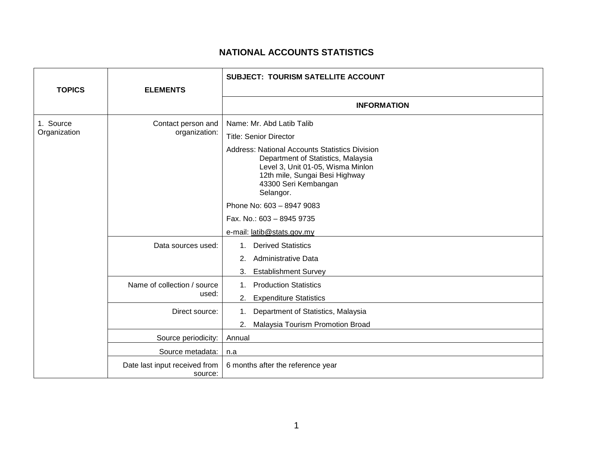## **NATIONAL ACCOUNTS STATISTICS**

|                           |                                          | <b>SUBJECT: TOURISM SATELLITE ACCOUNT</b>                                                                                                                                                                                                                                                                                       |
|---------------------------|------------------------------------------|---------------------------------------------------------------------------------------------------------------------------------------------------------------------------------------------------------------------------------------------------------------------------------------------------------------------------------|
| <b>TOPICS</b>             | <b>ELEMENTS</b>                          |                                                                                                                                                                                                                                                                                                                                 |
|                           |                                          | <b>INFORMATION</b>                                                                                                                                                                                                                                                                                                              |
| 1. Source<br>Organization | Contact person and<br>organization:      | Name: Mr. Abd Latib Talib<br><b>Title: Senior Director</b><br><b>Address: National Accounts Statistics Division</b><br>Department of Statistics, Malaysia<br>Level 3, Unit 01-05, Wisma Minlon<br>12th mile, Sungai Besi Highway<br>43300 Seri Kembangan<br>Selangor.<br>Phone No: 603 - 8947 9083<br>Fax. No.: 603 - 8945 9735 |
|                           |                                          | e-mail: latib@stats.gov.my                                                                                                                                                                                                                                                                                                      |
|                           | Data sources used:                       | <b>Derived Statistics</b><br>1.<br>Administrative Data<br>2.<br><b>Establishment Survey</b><br>3.                                                                                                                                                                                                                               |
|                           | Name of collection / source<br>used:     | <b>Production Statistics</b><br>1.<br>2.<br><b>Expenditure Statistics</b>                                                                                                                                                                                                                                                       |
|                           | Direct source:                           | Department of Statistics, Malaysia<br>$1_{\cdot}$<br>Malaysia Tourism Promotion Broad<br>2.                                                                                                                                                                                                                                     |
|                           | Source periodicity:                      | Annual                                                                                                                                                                                                                                                                                                                          |
|                           | Source metadata:                         | n.a                                                                                                                                                                                                                                                                                                                             |
|                           | Date last input received from<br>source: | 6 months after the reference year                                                                                                                                                                                                                                                                                               |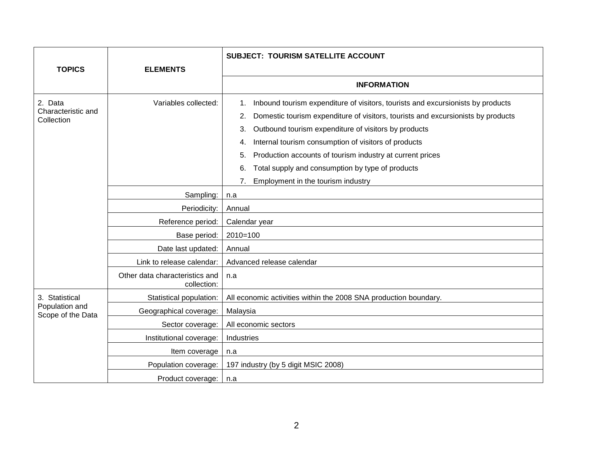| <b>TOPICS</b>                                         | <b>ELEMENTS</b>                               | <b>SUBJECT: TOURISM SATELLITE ACCOUNT</b>                                                                                                                                                                                                                                                                                                                                                                                                                                            |
|-------------------------------------------------------|-----------------------------------------------|--------------------------------------------------------------------------------------------------------------------------------------------------------------------------------------------------------------------------------------------------------------------------------------------------------------------------------------------------------------------------------------------------------------------------------------------------------------------------------------|
|                                                       |                                               |                                                                                                                                                                                                                                                                                                                                                                                                                                                                                      |
|                                                       |                                               | <b>INFORMATION</b>                                                                                                                                                                                                                                                                                                                                                                                                                                                                   |
| 2. Data<br>Characteristic and<br>Collection           | Variables collected:                          | Inbound tourism expenditure of visitors, tourists and excursionists by products<br>1.<br>Domestic tourism expenditure of visitors, tourists and excursionists by products<br>2.<br>Outbound tourism expenditure of visitors by products<br>3.<br>Internal tourism consumption of visitors of products<br>4.<br>Production accounts of tourism industry at current prices<br>5.<br>Total supply and consumption by type of products<br>6.<br>Employment in the tourism industry<br>7. |
|                                                       | Sampling:                                     | n.a                                                                                                                                                                                                                                                                                                                                                                                                                                                                                  |
|                                                       | Periodicity:                                  | Annual                                                                                                                                                                                                                                                                                                                                                                                                                                                                               |
|                                                       | Reference period:                             | Calendar year                                                                                                                                                                                                                                                                                                                                                                                                                                                                        |
|                                                       | Base period:                                  | $2010=100$                                                                                                                                                                                                                                                                                                                                                                                                                                                                           |
|                                                       | Date last updated:                            | Annual                                                                                                                                                                                                                                                                                                                                                                                                                                                                               |
|                                                       | Link to release calendar:                     | Advanced release calendar                                                                                                                                                                                                                                                                                                                                                                                                                                                            |
|                                                       | Other data characteristics and<br>collection: | n.a                                                                                                                                                                                                                                                                                                                                                                                                                                                                                  |
| 3. Statistical<br>Population and<br>Scope of the Data | Statistical population:                       | All economic activities within the 2008 SNA production boundary.                                                                                                                                                                                                                                                                                                                                                                                                                     |
|                                                       | Geographical coverage:                        | Malaysia                                                                                                                                                                                                                                                                                                                                                                                                                                                                             |
|                                                       | Sector coverage:                              | All economic sectors                                                                                                                                                                                                                                                                                                                                                                                                                                                                 |
|                                                       | Institutional coverage:                       | Industries                                                                                                                                                                                                                                                                                                                                                                                                                                                                           |
|                                                       | Item coverage                                 | n.a                                                                                                                                                                                                                                                                                                                                                                                                                                                                                  |
|                                                       | Population coverage:                          | 197 industry (by 5 digit MSIC 2008)                                                                                                                                                                                                                                                                                                                                                                                                                                                  |
|                                                       | Product coverage:                             | n.a                                                                                                                                                                                                                                                                                                                                                                                                                                                                                  |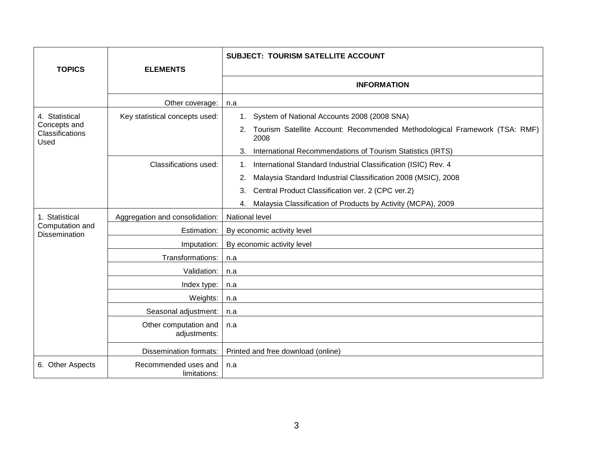|                                                           |                                       | <b>SUBJECT: TOURISM SATELLITE ACCOUNT</b>                                                |
|-----------------------------------------------------------|---------------------------------------|------------------------------------------------------------------------------------------|
| <b>TOPICS</b>                                             | <b>ELEMENTS</b>                       |                                                                                          |
|                                                           |                                       | <b>INFORMATION</b>                                                                       |
|                                                           | Other coverage:                       | n.a                                                                                      |
| 4. Statistical<br>Concepts and<br>Classifications<br>Used | Key statistical concepts used:        | System of National Accounts 2008 (2008 SNA)<br>1.                                        |
|                                                           |                                       | Tourism Satellite Account: Recommended Methodological Framework (TSA: RMF)<br>2.<br>2008 |
|                                                           |                                       | International Recommendations of Tourism Statistics (IRTS)<br>3.                         |
|                                                           | Classifications used:                 | International Standard Industrial Classification (ISIC) Rev. 4<br>1.                     |
|                                                           |                                       | Malaysia Standard Industrial Classification 2008 (MSIC), 2008<br>2.                      |
|                                                           |                                       | Central Product Classification ver. 2 (CPC ver.2)<br>3.                                  |
|                                                           |                                       | Malaysia Classification of Products by Activity (MCPA), 2009<br>4.                       |
| 1. Statistical                                            | Aggregation and consolidation:        | <b>National level</b>                                                                    |
| Computation and<br><b>Dissemination</b>                   | Estimation:                           | By economic activity level                                                               |
|                                                           | Imputation:                           | By economic activity level                                                               |
|                                                           | Transformations:                      | n.a                                                                                      |
|                                                           | Validation:                           | n.a                                                                                      |
|                                                           | Index type:                           | n.a                                                                                      |
|                                                           | Weights:                              | n.a                                                                                      |
|                                                           | Seasonal adjustment:                  | n.a                                                                                      |
|                                                           | Other computation and<br>adjustments: | n.a                                                                                      |
|                                                           | <b>Dissemination formats:</b>         | Printed and free download (online)                                                       |
| 6. Other Aspects                                          | Recommended uses and<br>limitations:  | n.a                                                                                      |